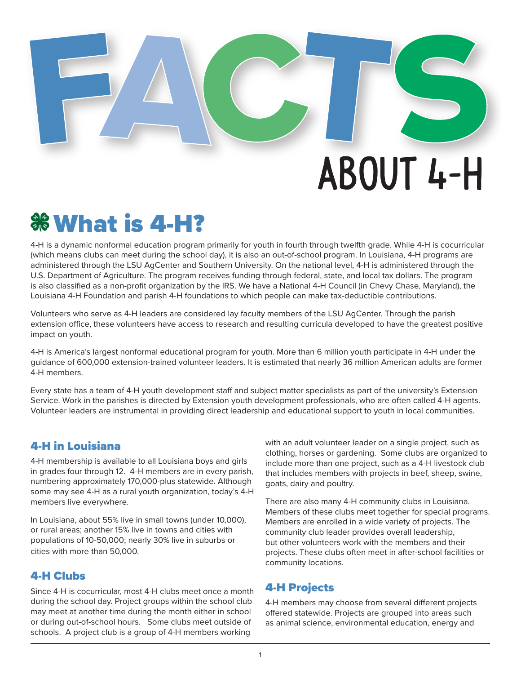# AbOuT 4-H

## **% What is 4-H?**

4-H is a dynamic nonformal education program primarily for youth in fourth through twelfth grade. While 4-H is cocurricular (which means clubs can meet during the school day), it is also an out-of-school program. In Louisiana, 4-H programs are administered through the LSU AgCenter and Southern University. On the national level, 4-H is administered through the U.S. Department of Agriculture. The program receives funding through federal, state, and local tax dollars. The program is also classified as a non-profit organization by the IRS. We have a National 4-H Council (in Chevy Chase, Maryland), the Louisiana 4-H Foundation and parish 4-H foundations to which people can make tax-deductible contributions.

Volunteers who serve as 4-H leaders are considered lay faculty members of the LSU AgCenter. Through the parish extension office, these volunteers have access to research and resulting curricula developed to have the greatest positive impact on youth.

4-H is America's largest nonformal educational program for youth. More than 6 million youth participate in 4-H under the guidance of 600,000 extension-trained volunteer leaders. It is estimated that nearly 36 million American adults are former 4-H members.

Every state has a team of 4-H youth development staff and subject matter specialists as part of the university's Extension Service. Work in the parishes is directed by Extension youth development professionals, who are often called 4-H agents. Volunteer leaders are instrumental in providing direct leadership and educational support to youth in local communities.

### 4-H in Louisiana

4-H membership is available to all Louisiana boys and girls in grades four through 12. 4-H members are in every parish, numbering approximately 170,000-plus statewide. Although some may see 4-H as a rural youth organization, today's 4-H members live everywhere.

In Louisiana, about 55% live in small towns (under 10,000), or rural areas; another 15% live in towns and cities with populations of 10-50,000; nearly 30% live in suburbs or cities with more than 50,000.

### 4-H Clubs

Since 4-H is cocurricular, most 4-H clubs meet once a month during the school day. Project groups within the school club may meet at another time during the month either in school or during out-of-school hours. Some clubs meet outside of schools. A project club is a group of 4-H members working

with an adult volunteer leader on a single project, such as clothing, horses or gardening. Some clubs are organized to include more than one project, such as a 4-H livestock club that includes members with projects in beef, sheep, swine, goats, dairy and poultry.

There are also many 4-H community clubs in Louisiana. Members of these clubs meet together for special programs. Members are enrolled in a wide variety of projects. The community club leader provides overall leadership, but other volunteers work with the members and their projects. These clubs often meet in after-school facilities or community locations.

### 4-H Projects

4-H members may choose from several different projects offered statewide. Projects are grouped into areas such as animal science, environmental education, energy and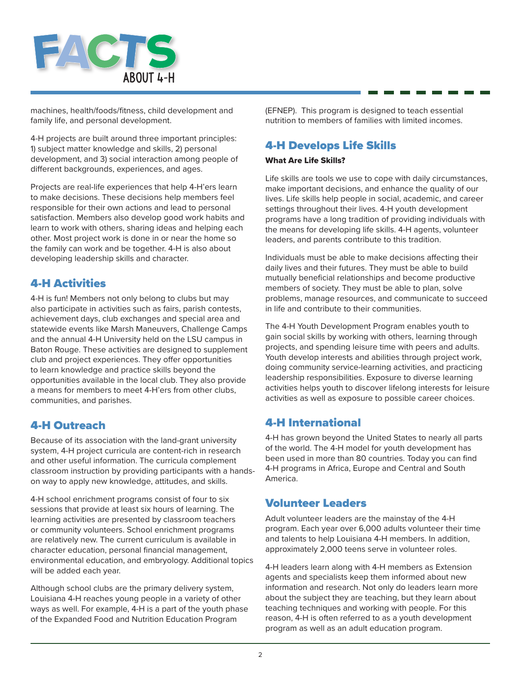

machines, health/foods/fitness, child development and family life, and personal development.

4-H projects are built around three important principles: 1) subject matter knowledge and skills, 2) personal development, and 3) social interaction among people of different backgrounds, experiences, and ages.

Projects are real-life experiences that help 4-H'ers learn to make decisions. These decisions help members feel responsible for their own actions and lead to personal satisfaction. Members also develop good work habits and learn to work with others, sharing ideas and helping each other. Most project work is done in or near the home so the family can work and be together. 4-H is also about developing leadership skills and character.

### 4-H Activities

4-H is fun! Members not only belong to clubs but may also participate in activities such as fairs, parish contests, achievement days, club exchanges and special area and statewide events like Marsh Maneuvers, Challenge Camps and the annual 4-H University held on the LSU campus in Baton Rouge. These activities are designed to supplement club and project experiences. They offer opportunities to learn knowledge and practice skills beyond the opportunities available in the local club. They also provide a means for members to meet 4-H'ers from other clubs, communities, and parishes.

### 4-H Outreach

Because of its association with the land-grant university system, 4-H project curricula are content-rich in research and other useful information. The curricula complement classroom instruction by providing participants with a handson way to apply new knowledge, attitudes, and skills.

4-H school enrichment programs consist of four to six sessions that provide at least six hours of learning. The learning activities are presented by classroom teachers or community volunteers. School enrichment programs are relatively new. The current curriculum is available in character education, personal financial management, environmental education, and embryology. Additional topics will be added each year.

Although school clubs are the primary delivery system, Louisiana 4-H reaches young people in a variety of other ways as well. For example, 4-H is a part of the youth phase of the Expanded Food and Nutrition Education Program

(EFNEP). This program is designed to teach essential nutrition to members of families with limited incomes.

### 4-H Develops Life Skills

### What Are Life Skills?

Life skills are tools we use to cope with daily circumstances, make important decisions, and enhance the quality of our lives. Life skills help people in social, academic, and career settings throughout their lives. 4-H youth development programs have a long tradition of providing individuals with the means for developing life skills. 4-H agents, volunteer leaders, and parents contribute to this tradition.

Individuals must be able to make decisions affecting their daily lives and their futures. They must be able to build mutually beneficial relationships and become productive members of society. They must be able to plan, solve problems, manage resources, and communicate to succeed in life and contribute to their communities.

The 4-H Youth Development Program enables youth to gain social skills by working with others, learning through projects, and spending leisure time with peers and adults. Youth develop interests and abilities through project work, doing community service-learning activities, and practicing leadership responsibilities. Exposure to diverse learning activities helps youth to discover lifelong interests for leisure activities as well as exposure to possible career choices.

### 4-H International

4-H has grown beyond the United States to nearly all parts of the world. The 4-H model for youth development has been used in more than 80 countries. Today you can find 4-H programs in Africa, Europe and Central and South America.

### Volunteer Leaders

Adult volunteer leaders are the mainstay of the 4-H program. Each year over 6,000 adults volunteer their time and talents to help Louisiana 4-H members. In addition, approximately 2,000 teens serve in volunteer roles.

4-H leaders learn along with 4-H members as Extension agents and specialists keep them informed about new information and research. Not only do leaders learn more about the subject they are teaching, but they learn about teaching techniques and working with people. For this reason, 4-H is often referred to as a youth development program as well as an adult education program.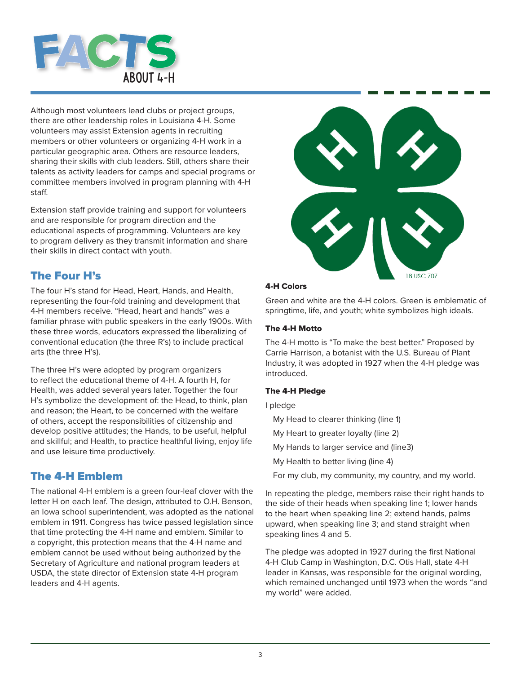

Although most volunteers lead clubs or project groups, there are other leadership roles in Louisiana 4-H. Some volunteers may assist Extension agents in recruiting members or other volunteers or organizing 4-H work in a particular geographic area. Others are resource leaders, sharing their skills with club leaders. Still, others share their talents as activity leaders for camps and special programs or committee members involved in program planning with 4-H staff.

Extension staff provide training and support for volunteers and are responsible for program direction and the educational aspects of programming. Volunteers are key to program delivery as they transmit information and share their skills in direct contact with youth.

### The Four H's

The four H's stand for Head, Heart, Hands, and Health, representing the four-fold training and development that 4-H members receive. "Head, heart and hands" was a familiar phrase with public speakers in the early 1900s. With these three words, educators expressed the liberalizing of conventional education (the three R's) to include practical arts (the three H's).

The three H's were adopted by program organizers to reflect the educational theme of 4-H. A fourth H, for Health, was added several years later. Together the four H's symbolize the development of: the Head, to think, plan and reason; the Heart, to be concerned with the welfare of others, accept the responsibilities of citizenship and develop positive attitudes; the Hands, to be useful, helpful and skillful; and Health, to practice healthful living, enjoy life and use leisure time productively.

### The 4-H Emblem

The national 4-H emblem is a green four-leaf clover with the letter H on each leaf. The design, attributed to O.H. Benson, an Iowa school superintendent, was adopted as the national emblem in 1911. Congress has twice passed legislation since that time protecting the 4-H name and emblem. Similar to a copyright, this protection means that the 4-H name and emblem cannot be used without being authorized by the Secretary of Agriculture and national program leaders at USDA, the state director of Extension state 4-H program leaders and 4-H agents.



### 4-H Colors

Green and white are the 4-H colors. Green is emblematic of springtime, life, and youth; white symbolizes high ideals.

### The 4-H Motto

The 4-H motto is "To make the best better." Proposed by Carrie Harrison, a botanist with the U.S. Bureau of Plant Industry, it was adopted in 1927 when the 4-H pledge was introduced.

### The 4-H Pledge

### I pledge

- My Head to clearer thinking (line 1)
- My Heart to greater loyalty (line 2)
- My Hands to larger service and (line3)
- My Health to better living (line 4)
- For my club, my community, my country, and my world.

In repeating the pledge, members raise their right hands to the side of their heads when speaking line 1; lower hands to the heart when speaking line 2; extend hands, palms upward, when speaking line 3; and stand straight when speaking lines 4 and 5.

The pledge was adopted in 1927 during the first National 4-H Club Camp in Washington, D.C. Otis Hall, state 4-H leader in Kansas, was responsible for the original wording, which remained unchanged until 1973 when the words "and my world" were added.